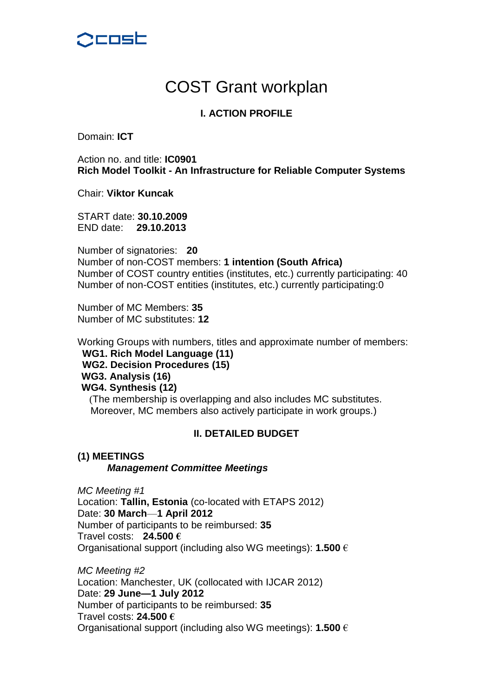

# COST Grant workplan

## **I. ACTION PROFILE**

Domain: **ICT**

Action no. and title: **IC0901 Rich Model Toolkit - An Infrastructure for Reliable Computer Systems**

Chair: **Viktor Kuncak**

START date: **30.10.2009** END date: **29.10.2013**

Number of signatories: **20** Number of non-COST members: **1 intention (South Africa)** Number of COST country entities (institutes, etc.) currently participating: 40 Number of non-COST entities (institutes, etc.) currently participating:0

Number of MC Members: **35** Number of MC substitutes: **12**

Working Groups with numbers, titles and approximate number of members: **WG1. Rich Model Language (11) WG2. Decision Procedures (15) WG3. Analysis (16) WG4. Synthesis (12)** (The membership is overlapping and also includes MC substitutes. Moreover, MC members also actively participate in work groups.)

## **II. DETAILED BUDGET**

#### **(1) MEETINGS** *Management Committee Meetings*

*MC Meeting #1* Location: **Tallin, Estonia** (co-located with ETAPS 2012) Date: **30 March**—**1 April 2012** Number of participants to be reimbursed: **35** Travel costs: **24.500 €** Organisational support (including also WG meetings): **1.500** €

*MC Meeting #2* Location: Manchester, UK (collocated with IJCAR 2012) Date: **29 June—1 July 2012** Number of participants to be reimbursed: **35** Travel costs: **24.500 €** Organisational support (including also WG meetings): **1.500** €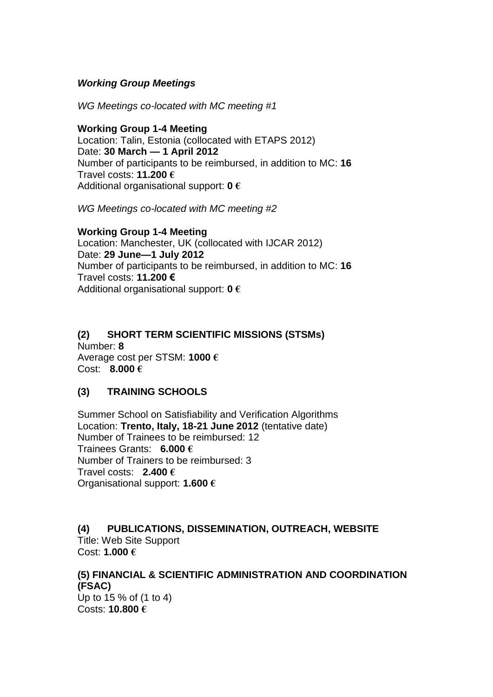## *Working Group Meetings*

*WG Meetings co-located with MC meeting #1*

#### **Working Group 1-4 Meeting**

Location: Talin, Estonia (collocated with ETAPS 2012) Date: **30 March — 1 April 2012** Number of participants to be reimbursed, in addition to MC: **16** Travel costs: **11.200 €** Additional organisational support: **0 €**

*WG Meetings co-located with MC meeting #2*

#### **Working Group 1-4 Meeting** Location: Manchester, UK (collocated with IJCAR 2012) Date: **29 June—1 July 2012** Number of participants to be reimbursed, in addition to MC: **16** Travel costs: **11.200 €** Additional organisational support: **0 €**

## **(2) SHORT TERM SCIENTIFIC MISSIONS (STSMs)** Number: **8**

Average cost per STSM: **1000 €** Cost: **8.000 €**

## **(3) TRAINING SCHOOLS**

Summer School on Satisfiability and Verification Algorithms Location: **Trento, Italy, 18-21 June 2012** (tentative date) Number of Trainees to be reimbursed: 12 Trainees Grants: **6.000 €** Number of Trainers to be reimbursed: 3 Travel costs: **2.400 €** Organisational support: **1.600 €**

## **(4) PUBLICATIONS, DISSEMINATION, OUTREACH, WEBSITE** Title: Web Site Support

Cost: **1.000 €**

## **(5) FINANCIAL & SCIENTIFIC ADMINISTRATION AND COORDINATION (FSAC)**

Up to 15 % of (1 to 4) Costs: **10.800 €**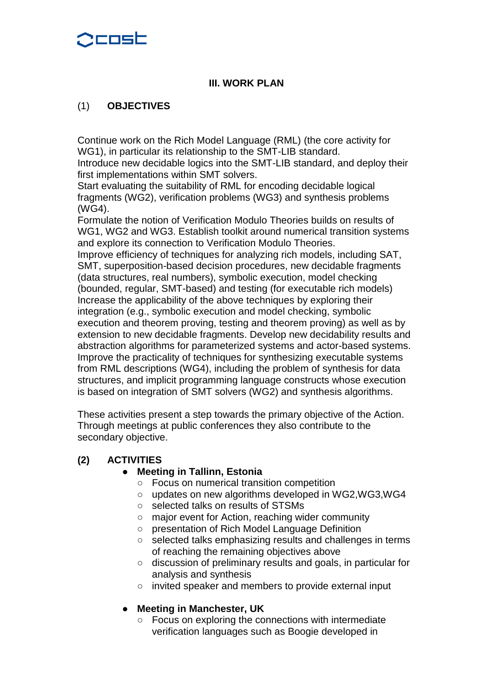## denst

## **III. WORK PLAN**

## (1) **OBJECTIVES**

Continue work on the Rich Model Language (RML) (the core activity for WG1), in particular its relationship to the SMT-LIB standard.

Introduce new decidable logics into the SMT-LIB standard, and deploy their first implementations within SMT solvers.

Start evaluating the suitability of RML for encoding decidable logical fragments (WG2), verification problems (WG3) and synthesis problems (WG4).

Formulate the notion of Verification Modulo Theories builds on results of WG1, WG2 and WG3. Establish toolkit around numerical transition systems and explore its connection to Verification Modulo Theories.

Improve efficiency of techniques for analyzing rich models, including SAT, SMT, superposition-based decision procedures, new decidable fragments (data structures, real numbers), symbolic execution, model checking (bounded, regular, SMT-based) and testing (for executable rich models) Increase the applicability of the above techniques by exploring their integration (e.g., symbolic execution and model checking, symbolic execution and theorem proving, testing and theorem proving) as well as by extension to new decidable fragments. Develop new decidability results and abstraction algorithms for parameterized systems and actor-based systems. Improve the practicality of techniques for synthesizing executable systems from RML descriptions (WG4), including the problem of synthesis for data structures, and implicit programming language constructs whose execution is based on integration of SMT solvers (WG2) and synthesis algorithms.

These activities present a step towards the primary objective of the Action. Through meetings at public conferences they also contribute to the secondary objective.

## **(2) ACTIVITIES**

## **Meeting in Tallinn, Estonia**

- Focus on numerical transition competition
- updates on new algorithms developed in WG2, WG3, WG4
- selected talks on results of STSMs
- major event for Action, reaching wider community
- presentation of Rich Model Language Definition
- selected talks emphasizing results and challenges in terms of reaching the remaining objectives above
- discussion of preliminary results and goals, in particular for analysis and synthesis
- invited speaker and members to provide external input

## **Meeting in Manchester, UK**

Focus on exploring the connections with intermediate verification languages such as Boogie developed in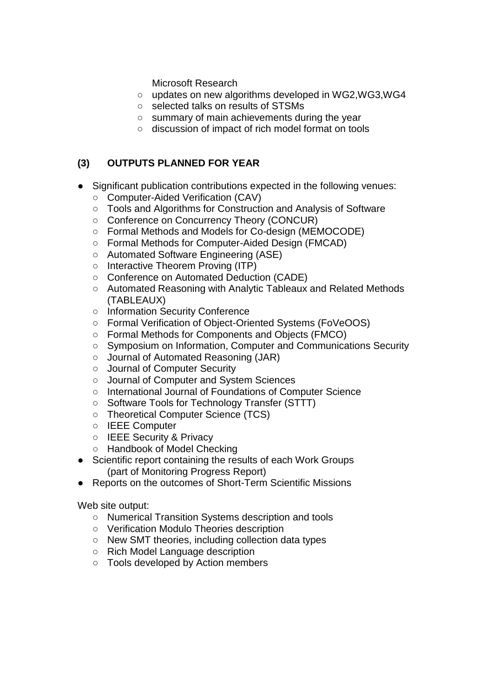Microsoft Research

- updates on new algorithms developed in WG2,WG3,WG4
- selected talks on results of STSMs
- summary of main achievements during the year
- discussion of impact of rich model format on tools

## **(3) OUTPUTS PLANNED FOR YEAR**

- Significant publication contributions expected in the following venues:
	- Computer-Aided Verification (CAV)
	- Tools and Algorithms for Construction and Analysis of Software
	- Conference on Concurrency Theory (CONCUR)
	- Formal Methods and Models for Co-design (MEMOCODE)
	- Formal Methods for Computer-Aided Design (FMCAD)
	- Automated Software Engineering (ASE)
	- Interactive Theorem Proving (ITP)
	- Conference on Automated Deduction (CADE)
	- Automated Reasoning with Analytic Tableaux and Related Methods (TABLEAUX)
	- Information Security Conference
	- Formal Verification of Object-Oriented Systems (FoVeOOS)
	- Formal Methods for Components and Objects (FMCO)
	- Symposium on Information, Computer and Communications Security
	- Journal of Automated Reasoning (JAR)
	- Journal of Computer Security
	- Journal of Computer and System Sciences
	- International Journal of Foundations of Computer Science
	- Software Tools for Technology Transfer (STTT)
	- Theoretical Computer Science (TCS)
	- IEEE Computer
	- IEEE Security & Privacy
	- Handbook of Model Checking
- Scientific report containing the results of each Work Groups (part of Monitoring Progress Report)
- Reports on the outcomes of Short-Term Scientific Missions

Web site output:

- Numerical Transition Systems description and tools
- Verification Modulo Theories description
- New SMT theories, including collection data types
- Rich Model Language description
- Tools developed by Action members